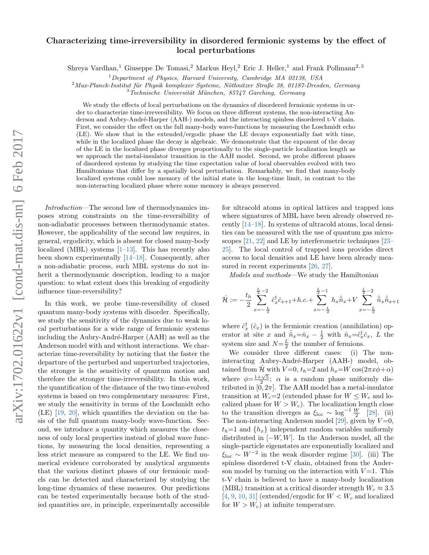## arXiv:1702.01622v1 [cond-mat.dis-nn] 6 Feb 2017 arXiv:1702.01622v1 [cond-mat.dis-nn] 6 Feb 2017

## Characterizing time-irreversibility in disordered fermionic systems by the effect of local perturbations

Shreya Vardhan,<sup>1</sup> Giuseppe De Tomasi,<sup>2</sup> Markus Heyl,<sup>2</sup> Eric J. Heller,<sup>1</sup> and Frank Pollmann<sup>2,3</sup>

 $1$ Department of Physics, Harvard University, Cambridge MA 02138, USA

 $2$ Max-Planck-Institut für Physik komplexer Systeme, Nöthnitzer Straße 38, 01187-Dresden, Germany

 $3\text{ }T$ echnische Universität München, 85747 Garching, Germany

We study the effects of local perturbations on the dynamics of disordered fermionic systems in order to characterize time-irreversibility. We focus on three different systems, the non-interacting Anderson and Aubry-André-Harper (AAH-) models, and the interacting spinless disordered t-V chain. First, we consider the effect on the full many-body wave-functions by measuring the Loschmidt echo (LE). We show that in the extended/ergodic phase the LE decays exponentially fast with time, while in the localized phase the decay is algebraic. We demonstrate that the exponent of the decay of the LE in the localized phase diverges proportionally to the single-particle localization length as we approach the metal-insulator transition in the AAH model. Second, we probe different phases of disordered systems by studying the time expectation value of local observables evolved with two Hamiltonians that differ by a spatially local perturbation. Remarkably, we find that many-body localized systems could lose memory of the initial state in the long-time limit, in contrast to the non-interacting localized phase where some memory is always preserved.

Introduction—The second law of thermodynamics imposes strong constraints on the time-reversibility of non-adiabatic processes between thermodynamic states. However, the applicability of the second law requires, in general, ergodicity, which is absent for closed many-body localized (MBL) systems  $[1-13]$  $[1-13]$ . This has recently also been shown experimentally [\[14–](#page-4-2)[18\]](#page-4-3). Consequently, after a non-adiabatic process, such MBL systems do not inherit a thermodynamic description, leading to a major question: to what extent does this breaking of ergodicity influence time-reversibility?

In this work, we probe time-reversibility of closed quantum many-body systems with disorder. Specifically, we study the sensitivity of the dynamics due to weak local perturbations for a wide range of fermionic systems including the Aubry-André-Harper (AAH) as well as the Anderson model with and without interactions. We characterize time-reversibility by noticing that the faster the departure of the perturbed and unperturbed trajectories, the stronger is the sensitivity of quantum motion and therefore the stronger time-irreversibility. In this work, the quantification of the distance of the two time-evolved systems is based on two complementary measures: First, we study the sensitivity in terms of the Loschmidt echo (LE) [\[19,](#page-4-4) [20\]](#page-4-5), which quantifies the deviation on the basis of the full quantum many-body wave-function. Second, we introduce a quantity which measures the closeness of only local properties instead of global wave functions, by measuring the local densities, representing a less strict measure as compared to the LE. We find numerical evidence corroborated by analytical arguments that the various distinct phases of our fermionic models can be detected and characterized by studying the long-time dynamics of these measures. Our predictions can be tested experimentally because both of the studied quantities are, in principle, experimentally accessible

for ultracold atoms in optical lattices and trapped ions where signatures of MBL have been already observed recently [\[14](#page-4-2)[–18\]](#page-4-3). In systems of ultracold atoms, local densities can be measured with the use of quantum gas microscopes [\[21,](#page-4-6) [22\]](#page-4-7) and LE by interferometric techniques [\[23–](#page-4-8) [25\]](#page-4-9). The local control of trapped ions provides direct access to local densities and LE have been already mea-sured in recent experiments [\[26,](#page-4-10) [27\]](#page-4-11).

Models and methods—We study the Hamiltonian

$$
\hat{\mathcal{H}} := -\frac{t_h}{2} \sum_{x=-\frac{L}{2}}^{\frac{L}{2}-2} \hat{c}_x^{\dagger} \hat{c}_{x+1} + h.c. + \sum_{x=-\frac{L}{2}}^{\frac{L}{2}-1} h_x \hat{\tilde{n}}_x + V \sum_{x=-\frac{L}{2}}^{\frac{L}{2}-2} \hat{\tilde{n}}_x \hat{\tilde{n}}_{x+1}
$$

where  $\hat{c}_x^{\dagger}$  ( $\hat{c}_x$ ) is the fermionic creation (annihilation) operator at site x and  $\hat{n}_x = \hat{n}_x - \frac{1}{2}$  with  $\hat{n}_x = \hat{c}_x^{\dagger} \hat{c}_x$ , L the system size and  $N=\frac{L}{2}$  the number of fermions.

We consider three different cases: (i) The noninteracting Aubry-André-Harper (AAH-) model, obtained from  $\hat{\mathcal{H}}$  with  $V=0$ ,  $t_h=2$  and  $h_x=W\cos(2\pi x \phi + \alpha)$ where  $\phi = \frac{1+\sqrt{5}}{2}$ ;  $\alpha$  is a random phase uniformly distributed in  $[0, 2\pi]$ . The AAH model has a metal-insulator transition at  $W_c=2$  (extended phase for  $W \leq W_c$  and localized phase for  $W > W_c$ . The localization length close to the transition diverges as  $\xi_{\text{loc}} \sim \log^{-1} \frac{W}{2}$  [\[28\]](#page-4-12). (ii) The non-interacting Anderson model [\[29\]](#page-4-13), given by  $V=0$ ,  $t_h=1$  and  $\{h_x\}$  independent random variables uniformly distributed in  $[-W, W]$ . In the Anderson model, all the single-particle eigenstates are exponentially localized and  $\xi_{\text{loc}} \sim W^{-2}$  in the weak disorder regime [\[30\]](#page-4-14). (iii) The spinless disordered t-V chain, obtained from the Anderson model by turning on the interaction with  $V=1$ . This t-V chain is believed to have a many-body localization (MBL) transition at a critical disorder strength  $W_c \approx 3.5$  $[4, 9, 10, 31]$  $[4, 9, 10, 31]$  $[4, 9, 10, 31]$  $[4, 9, 10, 31]$  $[4, 9, 10, 31]$  $[4, 9, 10, 31]$  $[4, 9, 10, 31]$  (extended/ergodic for  $W < W_c$  and localized for  $W > W_c$ ) at infinite temperature.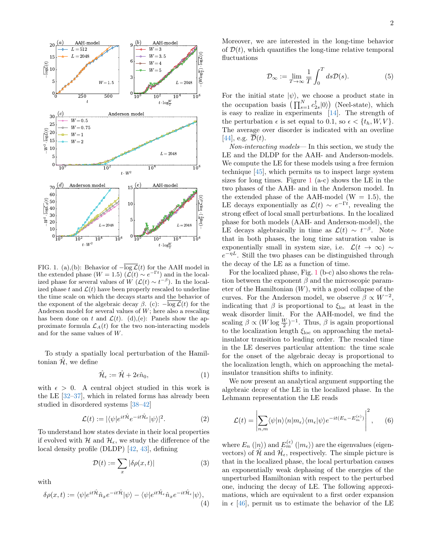<span id="page-1-0"></span>

FIG. 1. (a),(b): Behavior of  $-\overline{\log \mathcal{L}}(t)$  for the AAH model in the extended phase ( $W = 1.5$ ) ( $\mathcal{L}(t) \sim e^{-\Gamma t}$ ) and in the localized phase for several values of  $W(\mathcal{L}(t) \sim t^{-\beta})$ . In the localized phase t and  $\mathcal{L}(t)$  have been properly rescaled to underline the time scale on which the decays starts and the behavior of the exponent of the algebraic decay  $\beta$ . (c):  $-\overline{\log \mathcal{L}}(t)$  for the Anderson model for several values of  $W$ ; here also a rescaling has been done on t and  $\mathcal{L}(t)$ . (d),(e): Panels show the approximate formula  $\mathcal{L}_A(t)$  for the two non-interacting models and for the same values of W.

To study a spatially local perturbation of the Hamiltonian  $\mathcal{H}$ , we define

$$
\hat{\mathcal{H}}_{\epsilon} := \hat{\mathcal{H}} + 2\epsilon \hat{n}_0,\tag{1}
$$

with  $\epsilon > 0$ . A central object studied in this work is the LE [\[32](#page-4-19)[–37\]](#page-4-20), which in related forms has already been studied in disordered systems [\[38–](#page-4-21)[42\]](#page-4-22)

$$
\mathcal{L}(t) := |\langle \psi | e^{it\hat{\mathcal{H}}_e - it\hat{\mathcal{H}}_e} | \psi \rangle|^2. \tag{2}
$$

To understand how states deviate in their local properties if evolved with H and  $\mathcal{H}_{\epsilon}$ , we study the difference of the local density profile (DLDP) [\[42,](#page-4-22) [43\]](#page-5-0), defining

$$
\mathcal{D}(t) := \sum_{x} |\delta \rho(x, t)| \tag{3}
$$

with

$$
\delta \rho(x,t) := \langle \psi | e^{it\hat{\mathcal{H}}}\hat{n}_x e^{-it\hat{\mathcal{H}}} | \psi \rangle - \langle \psi | e^{it\hat{\mathcal{H}}_{\epsilon}}\hat{n}_x e^{-it\hat{\mathcal{H}}_{\epsilon}} | \psi \rangle, \tag{4}
$$

Moreover, we are interested in the long-time behavior of  $\mathcal{D}(t)$ , which quantifies the long-time relative temporal fluctuations

$$
\mathcal{D}_{\infty} := \lim_{T \to \infty} \frac{1}{T} \int_0^T ds \mathcal{D}(s).
$$
 (5)

For the initial state  $|\psi\rangle$ , we choose a product state in the occupation basis  $\left(\prod_{s=1}^{N} c_{2s}^{\dagger} |0\rangle\right)$  (Neel-state), which is easy to realize in experiments [\[14\]](#page-4-2). The strength of the perturbation  $\epsilon$  is set equal to 0.1, so  $\epsilon < \{t_h, W, V\}$ . The average over disorder is indicated with an overline [\[44\]](#page-5-1), e.g.  $\overline{\mathcal{D}}(t)$ .

Non-interacting models— In this section, we study the LE and the DLDP for the AAH- and Anderson-models. We compute the LE for these models using a free fermion technique [\[45\]](#page-5-2), which permits us to inspect large system sizes for long times. Figure  $1$  (a-c) shows the LE in the two phases of the AAH- and in the Anderson model. In the extended phase of the AAH-model ( $W = 1.5$ ), the LE decays exponentially as  $\mathcal{L}(t) \sim e^{-\Gamma t}$ , revealing the strong effect of local small perturbations. In the localized phase for both models (AAH- and Anderson-model), the LE decays algebraically in time as  $\mathcal{L}(t) \sim t^{-\beta}$ . Note that in both phases, the long time saturation value is exponentially small in system size, i.e.  $\mathcal{L}(t \to \infty) \sim$  $e^{-\eta L}$ . Still the two phases can be distinguished through the decay of the LE as a function of time.

For the localized phase, Fig. [1](#page-1-0) (b-c) also shows the relation between the exponent  $\beta$  and the microscopic parameter of the Hamiltonian  $(W)$ , with a good collapse of the curves. For the Anderson model, we observe  $\beta \propto W^{-2}$ , indicating that  $\beta$  is proportional to  $\xi_{\text{loc}}$  at least in the weak disorder limit. For the AAH-model, we find the scaling  $\beta \propto (W \log \frac{W}{2})^{-1}$ . Thus,  $\beta$  is again proportional to the localization length  $\xi_{\rm loc}$  on approaching the metalinsulator transition to leading order. The rescaled time in the LE deserves particular attention: the time scale for the onset of the algebraic decay is proportional to the localization length, which on approaching the metalinsulator transition shifts to infinity.

We now present an analytical argument supporting the algebraic decay of the LE in the localized phase. In the Lehmann representation the LE reads

<span id="page-1-1"></span>
$$
\mathcal{L}(t) = \left| \sum_{n,m} \langle \psi | n \rangle \langle n | m_{\epsilon} \rangle \langle m_{\epsilon} | \psi \rangle e^{-it(E_n - E_m^{(\epsilon)})} \right|^2, \quad (6)
$$

where  $E_n(\ket{n})$  and  $E_m^{(\epsilon)}(\ket{m_{\epsilon}})$  are the eigenvalues (eigenvectors) of  $\hat{\mathcal{H}}$  and  $\hat{\mathcal{H}}_{\epsilon}$ , respectively. The simple picture is that in the localized phase, the local perturbation causes an exponentially weak dephasing of the energies of the unperturbed Hamiltonian with respect to the perturbed one, inducing the decay of LE. The following approximations, which are equivalent to a first order expansion in  $\epsilon$  [\[46\]](#page-5-3), permit us to estimate the behavior of the LE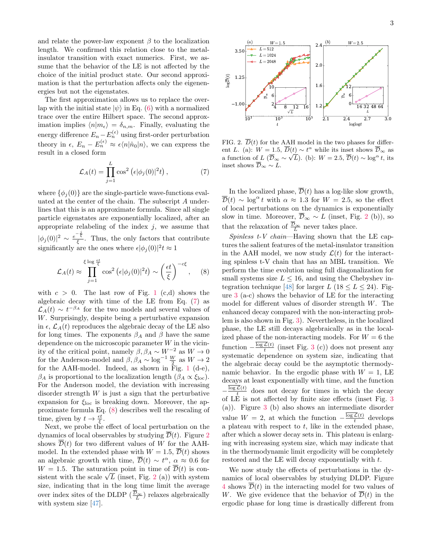and relate the power-law exponent  $\beta$  to the localization length. We confirmed this relation close to the metalinsulator transition with exact numerics. First, we assume that the behavior of the LE is not affected by the choice of the initial product state. Our second approximation is that the perturbation affects only the eigenenergies but not the eigenstates.

The first approximation allows us to replace the overlap with the initial state  $|\psi\rangle$  in Eq. [\(6\)](#page-1-1) with a normalized trace over the entire Hilbert space. The second approximation implies  $\langle n|m_{\epsilon}\rangle = \delta_{n,m}$ . Finally, evaluating the energy difference  $E_n - E_n^{(\epsilon)}$  using first-order perturbation theory in  $\epsilon$ ,  $E_n - E_n^{(\epsilon)} \approx \epsilon \langle n|\hat{n}_0|n\rangle$ , we can express the result in a closed form

<span id="page-2-0"></span>
$$
\mathcal{L}_A(t) = \prod_{j=1}^L \cos^2 \left( \epsilon |\phi_j(0)|^2 t \right),\tag{7}
$$

where  $\{\phi_i(0)\}\$ are the single-particle wave-functions evaluated at the center of the chain. The subscript A underlines that this is an approximate formula. Since all single particle eigenstates are exponentially localized, after an appropriate relabeling of the index  $j$ , we assume that  $|\phi_j(0)|^2 \sim \frac{e^{-\frac{j}{\xi}}}{\xi}$ . Thus, the only factors that contribute significantly are the ones where  $\epsilon |\phi_j(0)|^2 t \approx 1$ 

<span id="page-2-1"></span>
$$
\mathcal{L}_A(t) \approx \prod_{j=1}^{\xi \log \frac{\epsilon t}{\xi}} \cos^2 \left( \epsilon |\phi_j(0)|^2 t \right) \sim \left( \frac{\epsilon t}{\xi} \right)^{-c\xi}, \quad (8)
$$

with  $c > 0$ . The last row of Fig. [1](#page-1-0) (c,d) shows the algebraic decay with time of the LE from Eq. [\(7\)](#page-2-0) as  $\mathcal{L}_A(t) \sim t^{-\beta_A}$  for the two models and several values of W. Surprisingly, despite being a perturbative expansion in  $\epsilon$ ,  $\mathcal{L}_A(t)$  reproduces the algebraic decay of the LE also for long times. The exponents  $\beta_A$  and  $\beta$  have the same dependence on the microscopic parameter  $W$  in the vicinity of the critical point, namely  $\beta$ ,  $\beta_A \sim W^{-2}$  as  $W \to 0$ for the Anderson-model and  $\beta$ ,  $\beta_A \sim \log^{-1} \frac{W}{2}$  as  $W \to 2$ for the AAH-model. Indeed, as shown in Fig. [1](#page-1-0) (d-e),  $\beta_A$  is proportional to the localization length  $(\beta_A \propto \xi_{\text{loc}})$ . For the Anderson model, the deviation with increasing disorder strength  $W$  is just a sign that the perturbative expansion for  $\xi_{\text{loc}}$  is breaking down. Moreover, the approximate formula Eq. [\(8\)](#page-2-1) describes well the rescaling of time, given by  $t \to \frac{\epsilon t}{\xi}$ .

Next, we probe the effect of local perturbation on the dynamics of local observables by studying  $\overline{\mathcal{D}}(t)$ . Figure [2](#page-2-2) shows  $\overline{\mathcal{D}}(t)$  for two different values of W for the AAHmodel. In the extended phase with  $W = 1.5$ ,  $\overline{\mathcal{D}}(t)$  shows an algebraic growth with time,  $\overline{\mathcal{D}}(t) \sim t^{\alpha}, \ \alpha \approx 0.6$  for  $W = 1.5$ . The saturation point in time of  $\overline{\mathcal{D}}(t)$  is con- $W = 1.5$ . The saturation point in time of  $D(t)$  is consistent with the scale  $\sqrt{L}$  (inset, Fig. [2](#page-2-2) (a)) with system size, indicating that in the long time limit the average over index sites of the DLDP  $(\frac{\mathcal{D}_{\infty}}{L})$  relaxes algebraically with system size [\[47\]](#page-5-4).

<span id="page-2-2"></span>

2.1 2.4 2.7 3.0 loglogt

FIG. 2.  $\overline{D}(t)$  for the AAH model in the two phases for different L. (a):  $W = 1.5, \overline{D}(t) \sim t^{\alpha}$  while its inset shows  $\overline{D}_{\infty}$  as a function of  $L(\overline{\mathcal{D}}_{\infty} \sim \sqrt{L})$ . (b):  $W = 2.5$ ,  $\overline{\mathcal{D}}(t) \sim \log^{\alpha} t$ , its inset shows  $\overline{\mathcal{D}}_{\infty} \sim L$ .

 $3 \t 10^5$ 

 $\overline{10}$ 

 $\log\!D(t)$ 

 $\overline{10}$ 

t

In the localized phase,  $\overline{\mathcal{D}}(t)$  has a log-like slow growth,  $\overline{\mathcal{D}}(t) \sim \log^{\alpha} t$  with  $\alpha \approx 1.3$  for  $W = 2.5$ , so the effect of local perturbations on the dynamics is exponentially slow in time. Moreover,  $\overline{\mathcal{D}}_{\infty} \sim L$  (inset, Fig. [2](#page-2-2) (b)), so that the relaxation of  $\frac{\overline{\mathcal{D}}_{\infty}}{L}$  never takes place.

Spinless  $t$ -V chain—Having shown that the LE captures the salient features of the metal-insulator transition in the AAH model, we now study  $\mathcal{L}(t)$  for the interacting spinless t-V chain that has an MBL transition. We perform the time evolution using full diagonalization for small systems size  $L < 16$ , and using the Chebyshev in-tegration technique [\[48\]](#page-5-5) for larger L (18  $\leq L \leq 24$ ). Figure [3](#page-3-0) (a-c) shows the behavior of LE for the interacting model for different values of disorder strength W. The enhanced decay compared with the non-interacting problem is also shown in Fig. [3\)](#page-3-0). Nevertheless, in the localized phase, the LE still decays algebraically as in the localized phase of the non-interacting models. For  $W = 6$  the function  $-\frac{\log\mathcal{L}(t)}{t}$  $\frac{\mathcal{L}(t)}{t}$  (inset Fig. [3](#page-3-0) (c)) does not present any systematic dependence on system size, indicating that the algebraic decay could be the asymptotic thermodynamic behavior. In the ergodic phase with  $W = 1$ , LE decays at least exponentially with time, and the function  $-\frac{\log\mathcal{L}(t)}{t}$  $\frac{\mathcal{L}(t)}{t}$  does not decay for times in which the decay of LE is not affected by finite size effects (inset Fig. [3](#page-3-0) (a)). Figure [3](#page-3-0) (b) also shows an intermediate disorder value  $W = 2$ , at which the function  $-\frac{\log \mathcal{L}(t)}{t}$  $\frac{\mathcal{L}(t)}{t}$  develops a plateau with respect to  $t$ , like in the extended phase, after which a slower decay sets in. This plateau is enlarging with increasing system size, which may indicate that in the thermodynamic limit ergodicity will be completely restored and the LE will decay exponentially with t.

We now study the effects of perturbations in the dynamics of local observables by studying DLDP. Figure [4](#page-3-1) shows  $\overline{\mathcal{D}}(t)$  in the interacting model for two values of W. We give evidence that the behavior of  $\overline{\mathcal{D}}(t)$  in the ergodic phase for long time is drastically different from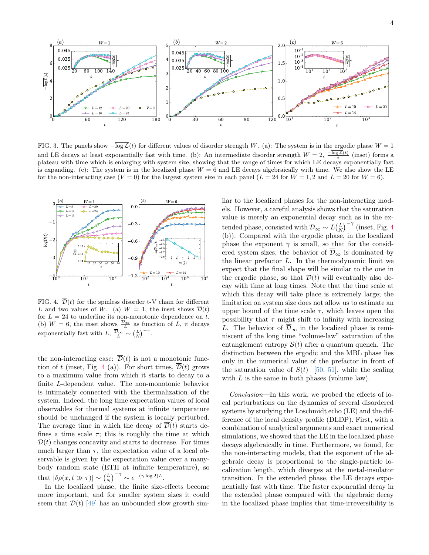<span id="page-3-0"></span>

FIG. 3. The panels show  $-\overline{\log \mathcal{L}}(t)$  for different values of disorder strength W. (a): The system is in the ergodic phase  $W = 1$ and LE decays at least exponentially fast with time. (b): An intermediate disorder strength  $W = 2$ ,  $\frac{-\log \mathcal{L}(t)}{t}$  (inset) forms a plateau with time which is enlarging with system size, showing that the range of times for which LE decays exponentially fast plateau with time which is enlarging with system size, showing that the range of times for whic is expanding. (c): The system is in the localized phase  $W = 6$  and LE decays algebraically with time. We also show the LE for the non-interacting case  $(V = 0)$  for the largest system size in each panel  $(L = 24$  for  $W = 1, 2$  and  $L = 20$  for  $W = 6$ ).

<span id="page-3-1"></span>

FIG. 4.  $\overline{\mathcal{D}}(t)$  for the spinless disorder t-V chain for different L and two values of W. (a)  $W = 1$ , the inset shows  $\overline{\mathcal{D}}(t)$ for  $L = 24$  to underline its non-monotonic dependence on t. (b)  $W = 6$ , the inset shows  $\frac{\mathcal{D}_{\infty}}{L}$  as function of L, it decays exponentially fast with  $L, \overline{\frac{\mathcal{D}_{\infty}}{L}} \sim {L \choose N}^{-\gamma}$ .

the non-interacting case:  $\overline{\mathcal{D}}(t)$  is not a monotonic func-tion of t (inset, Fig. [4](#page-3-1) (a)). For short times,  $\overline{\mathcal{D}}(t)$  grows to a maximum value from which it starts to decay to a finite L-dependent value. The non-monotonic behavior is intimately connected with the thermalization of the system. Indeed, the long time expectation values of local observables for thermal systems at infinite temperature should be unchanged if the system is locally perturbed. The average time in which the decay of  $\overline{\mathcal{D}}(t)$  starts defines a time scale  $\tau$ ; this is roughly the time at which  $\overline{\mathcal{D}}(t)$  changes concavity and starts to decrease. For times much larger than  $\tau$ , the expectation value of a local observable is given by the expectation value over a manybody random state (ETH at infinite temperature), so that  $|\delta \rho(x, t \gg \tau)| \sim (\frac{L}{N})^{-\gamma} \sim e^{-(\gamma \log 2)L}$ .

In the localized phase, the finite size-effects become more important, and for smaller system sizes it could seem that  $\overline{\mathcal{D}}(t)$  [\[49\]](#page-5-6) has an unbounded slow growth similar to the localized phases for the non-interacting models. However, a careful analysis shows that the saturation value is merely an exponential decay such as in the extended phase, consisted with  $\overline{\mathcal{D}}_{\infty} \sim L\binom{L}{N}^{-\gamma}$  (inset, Fig. [4](#page-3-1) (b)). Compared with the ergodic phase, in the localized phase the exponent  $\gamma$  is small, so that for the considered system sizes, the behavior of  $\overline{\mathcal{D}}_{\infty}$  is dominated by the linear prefactor  $L$ . In the thermodynamic limit we expect that the final shape will be similar to the one in the ergodic phase, so that  $\overline{\mathcal{D}}(t)$  will eventually also decay with time at long times. Note that the time scale at which this decay will take place is extremely large; the limitation on system size does not allow us to estimate an upper bound of the time scale  $\tau$ , which leaves open the possibility that  $\tau$  might shift to infinity with increasing L. The behavior of  $\overline{\mathcal{D}}_{\infty}$  in the localized phase is reminiscent of the long time "volume-law" saturation of the entanglement entropy  $S(t)$  after a quantum quench. The distinction between the ergodic and the MBL phase lies only in the numerical value of the prefactor in front of the saturation value of  $S(t)$  [\[50,](#page-5-7) [51\]](#page-5-8), while the scaling with  $L$  is the same in both phases (volume law).

Conclusion—In this work, we probed the effects of local perturbations on the dynamics of several disordered systems by studying the Loschmidt echo (LE) and the difference of the local density profile (DLDP). First, with a combination of analytical arguments and exact numerical simulations, we showed that the LE in the localized phase decays algebraically in time. Furthermore, we found, for the non-interacting models, that the exponent of the algebraic decay is proportional to the single-particle localization length, which diverges at the metal-insulator transition. In the extended phase, the LE decays exponentially fast with time. The faster exponential decay in the extended phase compared with the algebraic decay in the localized phase implies that time-irreversibility is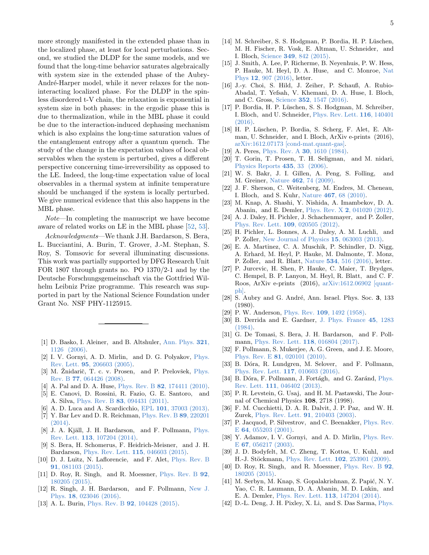more strongly manifested in the extended phase than in the localized phase, at least for local perturbations. Second, we studied the DLDP for the same models, and we found that the long-time behavior saturates algebraically with system size in the extended phase of the Aubry-André-Harper model, while it never relaxes for the noninteracting localized phase. For the DLDP in the spinless disordered t-V chain, the relaxation is exponential in system size in both phases: in the ergodic phase this is due to thermalization, while in the MBL phase it could be due to the interaction-induced dephasing mechanism which is also explains the long-time saturation values of the entanglement entropy after a quantum quench. The study of the change in the expectation values of local observables when the system is perturbed, gives a different perspective concerning time-irreversibility as opposed to the LE. Indeed, the long-time expectation value of local observables in a thermal system at infinite temperature should be unchanged if the system is locally perturbed. We give numerical evidence that this also happens in the MBL phase.

Note—In completing the manuscript we have become aware of related works on LE in the MBL phase [\[52,](#page-5-9) [53\]](#page-5-10).

Acknowledgments—We thank J.H. Bardarson, S. Bera, L. Bucciantini, A. Burin, T. Grover, J.-M. Stephan, S. Roy, S. Tomsovic for several illuminating discussions. This work was partially supported by DFG Research Unit FOR 1807 through grants no. PO 1370/2-1 and by the Deutsche Forschungsgemeinschaft via the Gottfried Wilhelm Leibniz Prize programme. This research was supported in part by the National Science Foundation under Grant No. NSF PHY-1125915.

- <span id="page-4-0"></span>[1] D. Basko, I. Aleiner, and B. Altshuler, [Ann. Phys.](http://dx.doi.org/http://dx.doi.org/10.1016/j.aop.2005.11.014) 321, [1126 \(2006\).](http://dx.doi.org/http://dx.doi.org/10.1016/j.aop.2005.11.014)
- [2] I. V. Gornyi, A. D. Mirlin, and D. G. Polyakov, [Phys.](http://dx.doi.org/10.1103/PhysRevLett.95.206603) Rev. Lett. 95[, 206603 \(2005\).](http://dx.doi.org/10.1103/PhysRevLett.95.206603)
- [3] M. Žnidarič, T. c. v. Prosen, and P. Prelovšek,  $Phys$ . Rev. B 77[, 064426 \(2008\).](http://dx.doi.org/ 10.1103/PhysRevB.77.064426)
- <span id="page-4-15"></span>[4] A. Pal and D. A. Huse, *Phys. Rev. B* 82[, 174411 \(2010\).](http://dx.doi.org/10.1103/PhysRevB.82.174411)
- [5] E. Canovi, D. Rossini, R. Fazio, G. E. Santoro, and A. Silva, Phys. Rev. B 83[, 094431 \(2011\).](http://dx.doi.org/ 10.1103/PhysRevB.83.094431)
- [6] A. D. Luca and A. Scardicchio, EPL 101[, 37003 \(2013\).](http://stacks.iop.org/0295-5075/101/i=3/a=37003)
- [7] Y. Bar Lev and D. R. Reichman, [Phys. Rev. B](http://dx.doi.org/10.1103/PhysRevB.89.220201) 89, 220201 [\(2014\).](http://dx.doi.org/10.1103/PhysRevB.89.220201)
- [8] J. A. Kjäll, J. H. Bardarson, and F. Pollmann, [Phys.](http://dx.doi.org/10.1103/PhysRevLett.113.107204) Rev. Lett. 113[, 107204 \(2014\).](http://dx.doi.org/10.1103/PhysRevLett.113.107204)
- <span id="page-4-16"></span>[9] S. Bera, H. Schomerus, F. Heidrich-Meisner, and J. H. Bardarson, [Phys. Rev. Lett.](http://dx.doi.org/10.1103/PhysRevLett.115.046603) 115, 046603 (2015).
- <span id="page-4-17"></span>[10] D. J. Luitz, N. Laflorencie, and F. Alet, [Phys. Rev. B](http://dx.doi.org/10.1103/PhysRevB.91.081103) 91[, 081103 \(2015\).](http://dx.doi.org/10.1103/PhysRevB.91.081103)
- [11] D. Roy, R. Singh, and R. Moessner, [Phys. Rev. B](http://dx.doi.org/10.1103/PhysRevB.92.180205) 92, [180205 \(2015\).](http://dx.doi.org/10.1103/PhysRevB.92.180205)
- [12] R. Singh, J. H. Bardarson, and F. Pollmann, [New J.](http://stacks.iop.org/1367-2630/18/i=2/a=023046) Phys. 18[, 023046 \(2016\).](http://stacks.iop.org/1367-2630/18/i=2/a=023046)
- <span id="page-4-1"></span>[13] A. L. Burin, *Phys. Rev. B* **92**[, 104428 \(2015\).](http://dx.doi.org/10.1103/PhysRevB.92.104428)
- <span id="page-4-2"></span>[14] M. Schreiber, S. S. Hodgman, P. Bordia, H. P. Lüschen, M. H. Fischer, R. Vosk, E. Altman, U. Schneider, and I. Bloch, Science 349[, 842 \(2015\).](http://dx.doi.org/10.1126/science.aaa7432)
- [15] J. Smith, A. Lee, P. Richerme, B. Neyenhuis, P. W. Hess, P. Hauke, M. Heyl, D. A. Huse, and C. Monroe, [Nat](http://dx.doi.org/10.1038/nphys3783) Phys 12[, 907 \(2016\),](http://dx.doi.org/10.1038/nphys3783) letter.
- [16] J.-y. Choi, S. Hild, J. Zeiher, P. Schauß, A. Rubio-Abadal, T. Yefsah, V. Khemani, D. A. Huse, I. Bloch, and C. Gross, Science 352[, 1547 \(2016\).](http://dx.doi.org/10.1126/science.aaf8834)
- [17] P. Bordia, H. P. Lüschen, S. S. Hodgman, M. Schreiber, I. Bloch, and U. Schneider, [Phys. Rev. Lett.](http://dx.doi.org/ 10.1103/PhysRevLett.116.140401) 116, 140401 [\(2016\).](http://dx.doi.org/ 10.1103/PhysRevLett.116.140401)
- <span id="page-4-3"></span>[18] H. P. Lüschen, P. Bordia, S. Scherg, F. Alet, E. Altman, U. Schneider, and I. Bloch, ArXiv e-prints (2016), [arXiv:1612.07173 \[cond-mat.quant-gas\].](http://arxiv.org/abs/1612.07173)
- <span id="page-4-4"></span>[19] A. Peres, Phys. Rev. A **30**[, 1610 \(1984\).](http://dx.doi.org/10.1103/PhysRevA.30.1610)
- <span id="page-4-5"></span>[20] T. Gorin, T. Prosen, T. H. Seligman, and M. nidari, [Physics Reports](http://dx.doi.org/http://dx.doi.org/10.1016/j.physrep.2006.09.003) 435, 33 (2006).
- <span id="page-4-6"></span>[21] W. S. Bakr, J. I. Gillen, A. Peng, S. Folling, and M. Greiner, Nature 462[, 74 \(2009\).](http://dx.doi.org/ 10.1038/nature08482)
- <span id="page-4-7"></span>[22] J. F. Sherson, C. Weitenberg, M. Endres, M. Cheneau, I. Bloch, and S. Kuhr, Nature 467[, 68 \(2010\).](http://dx.doi.org/ 10.1038/nature09378)
- <span id="page-4-8"></span>[23] M. Knap, A. Shashi, Y. Nishida, A. Imambekov, D. A. Abanin, and E. Demler, Phys. Rev. X 2[, 041020 \(2012\).](http://dx.doi.org/ 10.1103/PhysRevX.2.041020)
- [24] A. J. Daley, H. Pichler, J. Schachenmayer, and P. Zoller, [Phys. Rev. Lett.](http://dx.doi.org/10.1103/PhysRevLett.109.020505) 109, 020505 (2012).
- <span id="page-4-9"></span>[25] H. Pichler, L. Bonnes, A. J. Daley, A. M. Luchli, and P. Zoller, [New Journal of Physics](http://stacks.iop.org/1367-2630/15/i=6/a=063003) 15, 063003 (2013).
- <span id="page-4-10"></span>[26] E. A. Martinez, C. A. Muschik, P. Schindler, D. Nigg, A. Erhard, M. Heyl, P. Hauke, M. Dalmonte, T. Monz, P. Zoller, and R. Blatt, Nature 534[, 516 \(2016\),](http://dx.doi.org/10.1038/nature18318) letter.
- <span id="page-4-11"></span>[27] P. Jurcevic, H. Shen, P. Hauke, C. Maier, T. Brydges, C. Hempel, B. P. Lanyon, M. Heyl, R. Blatt, and C. F. Roos, ArXiv e-prints (2016), [arXiv:1612.06902 \[quant](http://arxiv.org/abs/1612.06902)[ph\].](http://arxiv.org/abs/1612.06902)
- <span id="page-4-12"></span>[ $28$ ] S. Aubry and G. André, Ann. Israel. Phys. Soc. 3, 133 (1980).
- <span id="page-4-13"></span>[29] P. W. Anderson, Phys. Rev. 109[, 1492 \(1958\).](http://dx.doi.org/10.1103/PhysRev.109.1492)
- <span id="page-4-14"></span>[30] B. Derrida and E. Gardner, [J. Phys. France](http://dx.doi.org/10.1051/jphys:019840045080128300) 45, 1283 [\(1984\).](http://dx.doi.org/10.1051/jphys:019840045080128300)
- <span id="page-4-18"></span>[31] G. De Tomasi, S. Bera, J. H. Bardarson, and F. Pollmann, [Phys. Rev. Lett.](http://dx.doi.org/10.1103/PhysRevLett.118.016804) 118, 016804 (2017).
- <span id="page-4-19"></span>[32] F. Pollmann, S. Mukerjee, A. G. Green, and J. E. Moore, Phys. Rev. E 81[, 020101 \(2010\).](http://dx.doi.org/10.1103/PhysRevE.81.020101)
- [33] B. Dóra, R. Lundgren, M. Selover, and F. Pollmann, [Phys. Rev. Lett.](http://dx.doi.org/10.1103/PhysRevLett.117.010603) 117, 010603 (2016).
- [34] B. Dóra, F. Pollmann, J. Fortágh, and G. Zaránd, [Phys.](http://dx.doi.org/10.1103/PhysRevLett.111.046402) Rev. Lett. 111[, 046402 \(2013\).](http://dx.doi.org/10.1103/PhysRevLett.111.046402)
- [35] P. R. Levstein, G. Usaj, and H. M. Pastawski, The Journal of Chemical Physics 108, 2718 (1998).
- [36] F. M. Cucchietti, D. A. R. Dalvit, J. P. Paz, and W. H. Zurek, [Phys. Rev. Lett.](http://dx.doi.org/10.1103/PhysRevLett.91.210403) 91, 210403 (2003).
- <span id="page-4-20"></span>[37] P. Jacquod, P. Silvestrov, and C. Beenakker, [Phys. Rev.](http://dx.doi.org/10.1103/PhysRevE.64.055203) E 64[, 055203 \(2001\).](http://dx.doi.org/10.1103/PhysRevE.64.055203)
- <span id="page-4-21"></span>[38] Y. Adamov, I. V. Gornyi, and A. D. Mirlin, [Phys. Rev.](http://dx.doi.org/10.1103/PhysRevE.67.056217) E 67[, 056217 \(2003\).](http://dx.doi.org/10.1103/PhysRevE.67.056217)
- [39] J. D. Bodyfelt, M. C. Zheng, T. Kottos, U. Kuhl, and H.-J. Stöckmann, [Phys. Rev. Lett.](http://dx.doi.org/ 10.1103/PhysRevLett.102.253901) 102, 253901 (2009).
- [40] D. Roy, R. Singh, and R. Moessner, [Phys. Rev. B](http://dx.doi.org/10.1103/PhysRevB.92.180205) 92, [180205 \(2015\).](http://dx.doi.org/10.1103/PhysRevB.92.180205)
- [41] M. Serbyn, M. Knap, S. Gopalakrishnan, Z. Papić, N. Y. Yao, C. R. Laumann, D. A. Abanin, M. D. Lukin, and E. A. Demler, [Phys. Rev. Lett.](http://dx.doi.org/10.1103/PhysRevLett.113.147204) 113, 147204 (2014).
- <span id="page-4-22"></span>[42] D.-L. Deng, J. H. Pixley, X. Li, and S. Das Sarma, [Phys.](http://dx.doi.org/ 10.1103/PhysRevB.92.220201)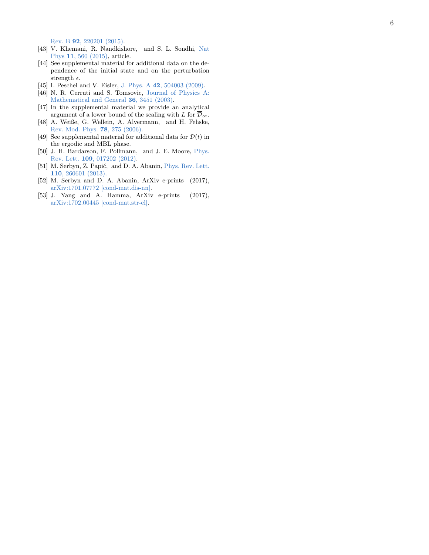Rev. B 92[, 220201 \(2015\)](http://dx.doi.org/ 10.1103/PhysRevB.92.220201) .

- <span id="page-5-0"></span>[43] V. Khemani, R. Nandkishore, and S. L. Sondhi, [Nat](http://dx.doi.org/10.1038/nphys3344) Phys 11[, 560 \(2015\),](http://dx.doi.org/10.1038/nphys3344) article.
- <span id="page-5-1"></span>[44] See supplemental material for additional data on the dependence of the initial state and on the perturbation strength  $\epsilon$ .
- <span id="page-5-2"></span>[45] I. Peschel and V. Eisler, J. Phys. A 42[, 504003 \(2009\)](http://stacks.iop.org/1751-8121/42/i=50/a=504003).
- <span id="page-5-3"></span>[46] N. R. Cerruti and S. Tomsovic, [Journal of Physics A:](http://stacks.iop.org/0305-4470/36/i=12/a=334) [Mathematical and General](http://stacks.iop.org/0305-4470/36/i=12/a=334) 36, 3451 (2003).
- <span id="page-5-4"></span>[47] In the supplemental material we provide an analytical argument of a lower bound of the scaling with L for  $\mathcal{D}_{\infty}$ .
- <span id="page-5-5"></span>[48] A. Weiße, G. Wellein, A. Alvermann, and H. Fehske, [Rev. Mod. Phys.](http://dx.doi.org/10.1103/RevModPhys.78.275) 78, 275 (2006) .
- <span id="page-5-6"></span>[49] See supplemental material for additional data for  $\mathcal{D}(t)$  in the ergodic and MBL phase.
- <span id="page-5-7"></span>[50] J. H. Bardarson, F. Pollmann, and J. E. Moore, [Phys.](http://dx.doi.org/10.1103/PhysRevLett.109.017202) Rev. Lett. 109[, 017202 \(2012\)](http://dx.doi.org/10.1103/PhysRevLett.109.017202) .
- <span id="page-5-8"></span>[51] M. Serbyn, Z. Papić, and D. A. Abanin, [Phys. Rev. Lett.](http://dx.doi.org/ 10.1103/PhysRevLett.110.260601) 110[, 260601 \(2013\)](http://dx.doi.org/ 10.1103/PhysRevLett.110.260601) .
- <span id="page-5-9"></span>[52] M. Serbyn and D. A. Abanin, ArXiv e-prints (2017), [arXiv:1701.07772 \[cond-mat.dis-nn\]](http://arxiv.org/abs/1701.07772) .
- <span id="page-5-10"></span>[53] J. Yang and A. Hamma, ArXiv e-prints (2017), [arXiv:1702.00445 \[cond-mat.str-el\]](http://arxiv.org/abs/1702.00445) .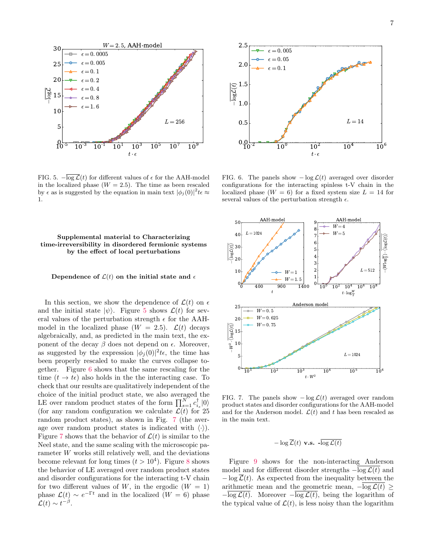<span id="page-6-0"></span>

FIG. 5.  $-\overline{\log \mathcal{L}}(t)$  for different values of  $\epsilon$  for the AAH-model in the localized phase  $(W = 2.5)$ . The time as been rescaled by  $\epsilon$  as is suggested by the equation in main text  $|\phi_j(0)|^2 t \epsilon \approx$ 1.

<span id="page-6-1"></span>

FIG. 6. The panels show  $-\log \mathcal{L}(t)$  averaged over disorder configurations for the interacting spinless t-V chain in the localized phase  $(W = 6)$  for a fixed system size  $L = 14$  for several values of the perturbation strength  $\epsilon$ .

## Supplemental material to Characterizing time-irreversibility in disordered fermionic systems by the effect of local perturbations

Dependence of  $\mathcal{L}(t)$  on the initial state and  $\epsilon$ 

In this section, we show the dependence of  $\mathcal{L}(t)$  on  $\epsilon$ and the initial state  $|\psi\rangle$ . Figure [5](#page-6-0) shows  $\mathcal{L}(t)$  for several values of the perturbation strength  $\epsilon$  for the AAHmodel in the localized phase  $(W = 2.5)$ .  $\mathcal{L}(t)$  decays algebraically, and, as predicted in the main text, the exponent of the decay  $\beta$  does not depend on  $\epsilon$ . Moreover, as suggested by the expression  $|\phi_j(0)|^2 t \epsilon$ , the time has been properly rescaled to make the curves collapse together. Figure [6](#page-6-1) shows that the same rescaling for the time  $(t \to t\epsilon)$  also holds in the the interacting case. To check that our results are qualitatively independent of the choice of the initial product state, we also averaged the LE over random product states of the form  $\prod_{s=1}^{N} c_{i_s}^{\dagger} |0\rangle$ (for any random configuration we calculate  $\mathcal{L}(t)$  for 25 random product states), as shown in Fig. [7](#page-6-2) (the average over random product states is indicated with  $\langle \cdot \rangle$ . Figure [7](#page-6-2) shows that the behavior of  $\mathcal{L}(t)$  is similar to the Neel state, and the same scaling with the microscopic parameter W works still relatively well, and the deviations become relevant for long times  $(t > 10<sup>4</sup>)$ . Figure [8](#page-7-0) shows the behavior of LE averaged over random product states and disorder configurations for the interacting t-V chain for two different values of W, in the ergodic  $(W = 1)$ phase  $\mathcal{L}(t) \sim e^{-\Gamma t}$  and in the localized  $(W = 6)$  phase  $\mathcal{L}(t) \sim t^{-\beta}$ .

<span id="page-6-2"></span>

FIG. 7. The panels show  $-\log \mathcal{L}(t)$  averaged over random product states and disorder configurations for the AAH-model and for the Anderson model.  $\mathcal{L}(t)$  and t has been rescaled as in the main text.

$$
-\log \overline{\mathcal{L}}(t)
$$
 v.s.  $-\log \mathcal{L}(t)$ 

Figure [9](#page-7-1) shows for the non-interacting Anderson model and for different disorder strengths  $-\log \mathcal{L}(t)$  and  $-\log \overline{\mathcal{L}}(t)$ . As expected from the inequality between the arithmetic mean and the geometric mean,  $-\log \mathcal{L}(t)$  $-\overline{\log \mathcal{L}(t)}$ . Moreover  $-\overline{\log \mathcal{L}(t)}$ , being the logarithm of the typical value of  $\mathcal{L}(t)$ , is less noisy than the logarithm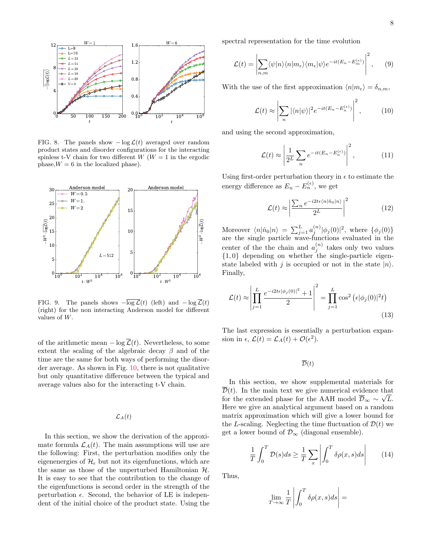<span id="page-7-0"></span>

FIG. 8. The panels show  $-\log \mathcal{L}(t)$  averaged over random product states and disorder configurations for the interacting spinless t-V chain for two different  $W(W = 1)$  in the ergodic phase,  $W = 6$  in the localized phase).

<span id="page-7-1"></span>

FIG. 9. The panels shows  $-\overline{\log \mathcal{L}}(t)$  (left) and  $-\log \overline{\mathcal{L}}(t)$ (right) for the non interacting Anderson model for different values of W.

of the arithmetic mean  $-\log \overline{\mathcal{L}}(t)$ . Nevertheless, to some extent the scaling of the algebraic decay  $\beta$  and of the time are the same for both ways of performing the disorder average. As shown in Fig. [10,](#page-8-0) there is not qualitative but only quantitative difference between the typical and average values also for the interacting t-V chain.

## $\mathcal{L}_A(t)$

In this section, we show the derivation of the approximate formula  $\mathcal{L}_A(t)$ . The main assumptions will use are the following: First, the perturbation modifies only the eigenenergies of  $\mathcal{H}_{\epsilon}$  but not its eigenfunctions, which are the same as those of the unperturbed Hamiltonian  $H$ . It is easy to see that the contribution to the change of the eigenfunctions is second order in the strength of the perturbation  $\epsilon$ . Second, the behavior of LE is independent of the initial choice of the product state. Using the

spectral representation for the time evolution

$$
\mathcal{L}(t) = \left| \sum_{n,m} \langle \psi | n \rangle \langle n | m_{\epsilon} \rangle \langle m_{\epsilon} | \psi \rangle e^{-it(E_n - E_m^{(\epsilon)})} \right|^2, \qquad (9)
$$

With the use of the first approximation  $\langle n|m_{\epsilon}\rangle = \delta_{n,m}$ ,

$$
\mathcal{L}(t) \approx \left| \sum_{n} |\langle n|\psi \rangle|^2 e^{-it(E_n - E_n^{(\epsilon)})} \right|^2, \quad (10)
$$

and using the second approximation,

$$
\mathcal{L}(t) \approx \left| \frac{1}{2^L} \sum_n e^{-it(E_n - E_n^{(\epsilon)})} \right|^2, \qquad (11)
$$

Using first-order perturbation theory in  $\epsilon$  to estimate the energy difference as  $E_n - E_n^{(\epsilon)}$ , we get

$$
\mathcal{L}(t) \approx \left| \frac{\sum_{n} e^{-i2t\epsilon \langle n|\hat{n}_0|n\rangle}}{2^L} \right|^2 \tag{12}
$$

Moreover  $\langle n|\hat{n}_0|n\rangle = \sum_{j=1}^L a_j^{(n)}|\phi_j(0)|^2$ , where  $\{\phi_j(0)\}\$ are the single particle wave-functions evaluated in the center of the the chain and  $a_j^{(n)}$  takes only two values  $\{1,0\}$  depending on whether the single-particle eigenstate labeled with j is occupied or not in the state  $|n\rangle$ . Finally,

$$
\mathcal{L}(t) \approx \left| \prod_{j=1}^{L} \frac{e^{-i2t\epsilon |\phi_j(0)|^2} + 1}{2} \right|^2 = \prod_{j=1}^{L} \cos^2 \left( \epsilon |\phi_j(0)|^2 t \right)
$$
\n(13)

The last expression is essentially a perturbation expansion in  $\epsilon$ ,  $\mathcal{L}(t) = \mathcal{L}_A(t) + \mathcal{O}(\epsilon^2)$ .

 $\overline{\mathcal{D}}(t)$ 

In this section, we show supplemental materials for  $\overline{\mathcal{D}}(t)$ . In the main text we give numerical evidence that for the extended phase for the AAH model  $\overline{\mathcal{D}}_{\infty} \sim \sqrt{L}$ . Here we give an analytical argument based on a random matrix approximation which will give a lower bound for the L-scaling. Neglecting the time fluctuation of  $\mathcal{D}(t)$  we get a lower bound of  $\mathcal{D}_{\infty}$  (diagonal ensemble).

> 1  $\boldsymbol{\mathcal{I}}$  $\int_0^T$ 0  $\mathcal{D}(s)ds \geq \frac{1}{\pi}$ T  $\sum$ x  $\begin{array}{c} \hline \end{array}$  $\int_0^T$ 0  $\delta \rho(x,s) ds$  (14)

Thus,

$$
\lim_{T \to \infty} \frac{1}{T} \left| \int_0^T \delta \rho(x, s) ds \right| =
$$